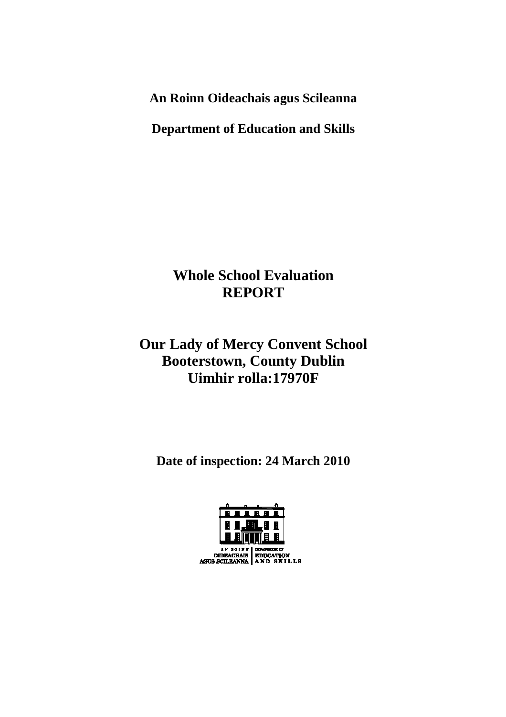**An Roinn Oideachais agus Scileanna** 

**Department of Education and Skills** 

# **Whole School Evaluation REPORT**

# **Our Lady of Mercy Convent School Booterstown, County Dublin Uimhir rolla:17970F**

**Date of inspection: 24 March 2010** 

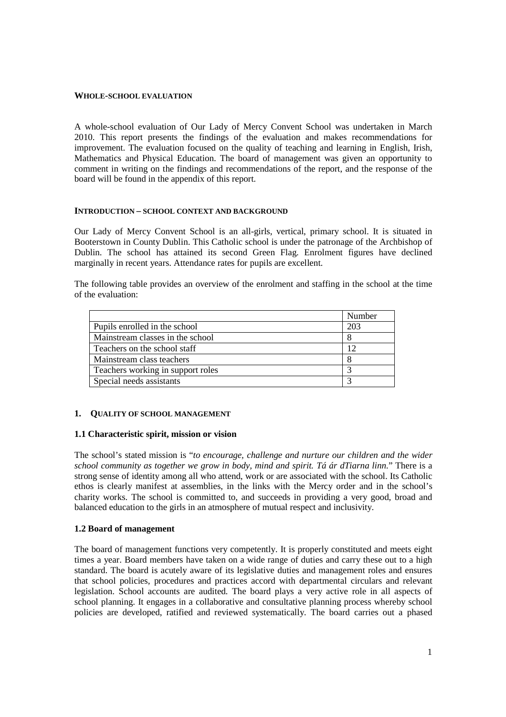#### **WHOLE-SCHOOL EVALUATION**

A whole-school evaluation of Our Lady of Mercy Convent School was undertaken in March 2010. This report presents the findings of the evaluation and makes recommendations for improvement. The evaluation focused on the quality of teaching and learning in English, Irish, Mathematics and Physical Education. The board of management was given an opportunity to comment in writing on the findings and recommendations of the report, and the response of the board will be found in the appendix of this report.

#### **INTRODUCTION – SCHOOL CONTEXT AND BACKGROUND**

Our Lady of Mercy Convent School is an all-girls, vertical, primary school. It is situated in Booterstown in County Dublin. This Catholic school is under the patronage of the Archbishop of Dublin. The school has attained its second Green Flag. Enrolment figures have declined marginally in recent years. Attendance rates for pupils are excellent.

The following table provides an overview of the enrolment and staffing in the school at the time of the evaluation:

|                                   | Number |
|-----------------------------------|--------|
| Pupils enrolled in the school     | 203    |
| Mainstream classes in the school  |        |
| Teachers on the school staff      | 12     |
| Mainstream class teachers         |        |
| Teachers working in support roles |        |
| Special needs assistants          |        |

#### **1. QUALITY OF SCHOOL MANAGEMENT**

#### **1.1 Characteristic spirit, mission or vision**

The school's stated mission is "*to encourage, challenge and nurture our children and the wider school community as together we grow in body, mind and spirit. Tá ár dTiarna linn*." There is a strong sense of identity among all who attend, work or are associated with the school. Its Catholic ethos is clearly manifest at assemblies, in the links with the Mercy order and in the school's charity works. The school is committed to, and succeeds in providing a very good, broad and balanced education to the girls in an atmosphere of mutual respect and inclusivity.

#### **1.2 Board of management**

The board of management functions very competently. It is properly constituted and meets eight times a year. Board members have taken on a wide range of duties and carry these out to a high standard. The board is acutely aware of its legislative duties and management roles and ensures that school policies, procedures and practices accord with departmental circulars and relevant legislation. School accounts are audited. The board plays a very active role in all aspects of school planning. It engages in a collaborative and consultative planning process whereby school policies are developed, ratified and reviewed systematically. The board carries out a phased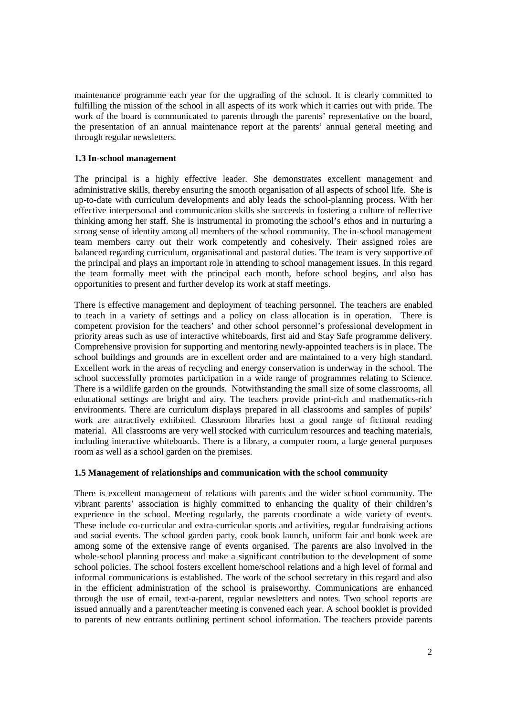maintenance programme each year for the upgrading of the school. It is clearly committed to fulfilling the mission of the school in all aspects of its work which it carries out with pride. The work of the board is communicated to parents through the parents' representative on the board, the presentation of an annual maintenance report at the parents' annual general meeting and through regular newsletters.

### **1.3 In-school management**

The principal is a highly effective leader. She demonstrates excellent management and administrative skills, thereby ensuring the smooth organisation of all aspects of school life. She is up-to-date with curriculum developments and ably leads the school-planning process. With her effective interpersonal and communication skills she succeeds in fostering a culture of reflective thinking among her staff. She is instrumental in promoting the school's ethos and in nurturing a strong sense of identity among all members of the school community. The in-school management team members carry out their work competently and cohesively. Their assigned roles are balanced regarding curriculum, organisational and pastoral duties. The team is very supportive of the principal and plays an important role in attending to school management issues. In this regard the team formally meet with the principal each month, before school begins, and also has opportunities to present and further develop its work at staff meetings.

There is effective management and deployment of teaching personnel. The teachers are enabled to teach in a variety of settings and a policy on class allocation is in operation. There is competent provision for the teachers' and other school personnel's professional development in priority areas such as use of interactive whiteboards, first aid and Stay Safe programme delivery. Comprehensive provision for supporting and mentoring newly-appointed teachers is in place. The school buildings and grounds are in excellent order and are maintained to a very high standard. Excellent work in the areas of recycling and energy conservation is underway in the school. The school successfully promotes participation in a wide range of programmes relating to Science. There is a wildlife garden on the grounds. Notwithstanding the small size of some classrooms, all educational settings are bright and airy. The teachers provide print-rich and mathematics-rich environments. There are curriculum displays prepared in all classrooms and samples of pupils' work are attractively exhibited. Classroom libraries host a good range of fictional reading material. All classrooms are very well stocked with curriculum resources and teaching materials, including interactive whiteboards. There is a library, a computer room, a large general purposes room as well as a school garden on the premises.

#### **1.5 Management of relationships and communication with the school community**

There is excellent management of relations with parents and the wider school community. The vibrant parents' association is highly committed to enhancing the quality of their children's experience in the school. Meeting regularly, the parents coordinate a wide variety of events. These include co-curricular and extra-curricular sports and activities, regular fundraising actions and social events. The school garden party, cook book launch, uniform fair and book week are among some of the extensive range of events organised. The parents are also involved in the whole-school planning process and make a significant contribution to the development of some school policies. The school fosters excellent home/school relations and a high level of formal and informal communications is established. The work of the school secretary in this regard and also in the efficient administration of the school is praiseworthy. Communications are enhanced through the use of email, text-a-parent, regular newsletters and notes. Two school reports are issued annually and a parent/teacher meeting is convened each year. A school booklet is provided to parents of new entrants outlining pertinent school information. The teachers provide parents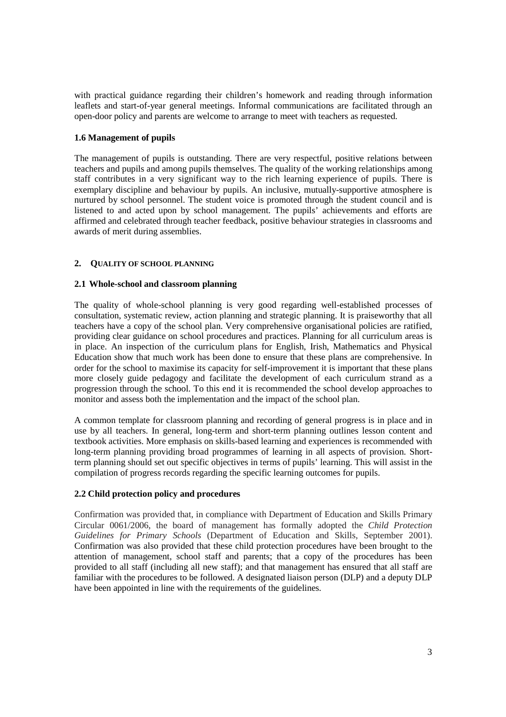with practical guidance regarding their children's homework and reading through information leaflets and start-of-year general meetings. Informal communications are facilitated through an open-door policy and parents are welcome to arrange to meet with teachers as requested.

## **1.6 Management of pupils**

The management of pupils is outstanding. There are very respectful, positive relations between teachers and pupils and among pupils themselves. The quality of the working relationships among staff contributes in a very significant way to the rich learning experience of pupils. There is exemplary discipline and behaviour by pupils. An inclusive, mutually-supportive atmosphere is nurtured by school personnel. The student voice is promoted through the student council and is listened to and acted upon by school management. The pupils' achievements and efforts are affirmed and celebrated through teacher feedback, positive behaviour strategies in classrooms and awards of merit during assemblies.

## **2. QUALITY OF SCHOOL PLANNING**

## **2.1 Whole-school and classroom planning**

The quality of whole-school planning is very good regarding well-established processes of consultation, systematic review, action planning and strategic planning. It is praiseworthy that all teachers have a copy of the school plan. Very comprehensive organisational policies are ratified, providing clear guidance on school procedures and practices. Planning for all curriculum areas is in place. An inspection of the curriculum plans for English, Irish, Mathematics and Physical Education show that much work has been done to ensure that these plans are comprehensive. In order for the school to maximise its capacity for self-improvement it is important that these plans more closely guide pedagogy and facilitate the development of each curriculum strand as a progression through the school. To this end it is recommended the school develop approaches to monitor and assess both the implementation and the impact of the school plan.

A common template for classroom planning and recording of general progress is in place and in use by all teachers. In general, long-term and short-term planning outlines lesson content and textbook activities. More emphasis on skills-based learning and experiences is recommended with long-term planning providing broad programmes of learning in all aspects of provision. Shortterm planning should set out specific objectives in terms of pupils' learning. This will assist in the compilation of progress records regarding the specific learning outcomes for pupils.

## **2.2 Child protection policy and procedures**

Confirmation was provided that, in compliance with Department of Education and Skills Primary Circular 0061/2006, the board of management has formally adopted the *Child Protection Guidelines for Primary Schools* (Department of Education and Skills, September 2001). Confirmation was also provided that these child protection procedures have been brought to the attention of management, school staff and parents; that a copy of the procedures has been provided to all staff (including all new staff); and that management has ensured that all staff are familiar with the procedures to be followed. A designated liaison person (DLP) and a deputy DLP have been appointed in line with the requirements of the guidelines.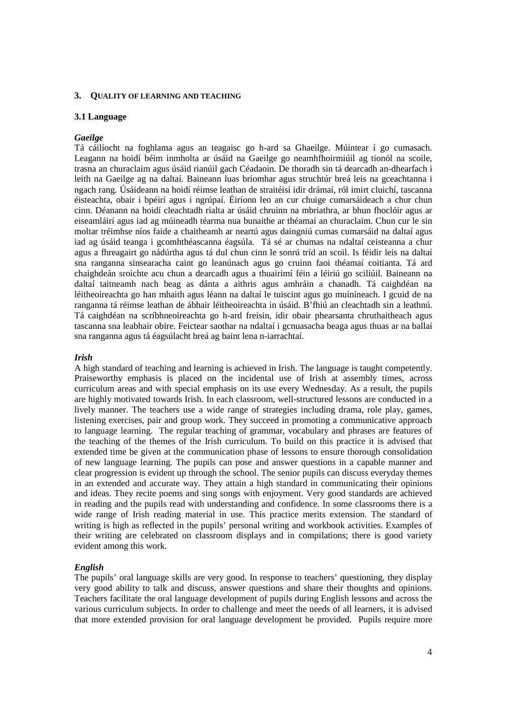#### **3. QUALITY OF LEARNING AND TEACHING**

#### **3.1 Language**

#### *Gaeilge*

Tá cáilíocht na foghlama agus an teagaisc go h-ard sa Ghaeilge. Múintear í go cumasach. Leagann na hoidí béim inmholta ar úsáid na Gaeilge go neamhfhoirmiúil ag tionól na scoile, trasna an churaclaim agus úsáid rianúil gach Céadaoin. De thoradh sin tá dearcadh an-dhearfach i leith na Gaeilge ag na daltaí. Baineann luas bríomhar agus struchtúr breá leis na gceachtanna i ngach rang. Úsáideann na hoidí réimse leathan de straitéisí idir drámaí, ról imirt cluichí, tascanna éisteachta, obair i bpéirí agus i ngrúpaí. Éiríonn leo an cur chuige cumarsáideach a chur chun cinn. Déanann na hoidí cleachtadh rialta ar úsáid chruinn na mbriathra, ar bhun fhoclóir agus ar eiseamláirí agus iad ag múineadh téarma nua bunaithe ar théamaí an churaclaim. Chun cur le sin moltar tréimhse níos faide a chaitheamh ar neartú agus daingniú cumas cumarsáid na daltaí agus iad ag úsáid teanga i gcomhthéascanna éagsúla. Tá sé ar chumas na ndaltaí ceisteanna a chur agus a fhreagairt go nádúrtha agus tá dul chun cinn le sonrú tríd an scoil. Is féidir leis na daltaí sna ranganna sinsearacha caint go leanúnach agus go cruinn faoi théamaí coitianta. Tá ard chaighdeán sroichte acu chun a dearcadh agus a thuairimí féin a léiriú go sciliúil. Baineann na daltaí taitneamh nach beag as dánta a aithris agus amhráin a chanadh. Tá caighdéan na léitheoireachta go han mhaith agus léann na daltaí le tuiscint agus go muiníneach. I gcuid de na ranganna tá réimse leathan de ábhair léitheoireachta in úsáid. B'fhiú an cleachtadh sin a leathnú. Tá caighdéan na scríbhneoireachta go h-ard freisin, idir obair phearsanta chruthaitheach agus tascanna sna leabhair obire. Feictear saothar na ndaltaí i gcnuasacha beaga agus thuas ar na ballaí sna ranganna agus tá éagsúlacht breá ag baint lena n-iarrachtaí.

#### *Irish*

A high standard of teaching and learning is achieved in Irish. The language is taught competently. Praiseworthy emphasis is placed on the incidental use of Irish at assembly times, across curriculum areas and with special emphasis on its use every Wednesday. As a result, the pupils are highly motivated towards Irish. In each classroom, well-structured lessons are conducted in a lively manner. The teachers use a wide range of strategies including drama, role play, games, listening exercises, pair and group work. They succeed in promoting a communicative approach to language learning. The regular teaching of grammar, vocabulary and phrases are features of the teaching of the themes of the Irish curriculum. To build on this practice it is advised that extended time be given at the communication phase of lessons to ensure thorough consolidation of new language learning. The pupils can pose and answer questions in a capable manner and clear progression is evident up through the school. The senior pupils can discuss everyday themes in an extended and accurate way. They attain a high standard in communicating their opinions and ideas. They recite poems and sing songs with enjoyment. Very good standards are achieved in reading and the pupils read with understanding and confidence. In some classrooms there is a wide range of Irish reading material in use. This practice merits extension. The standard of writing is high as reflected in the pupils' personal writing and workbook activities. Examples of their writing are celebrated on classroom displays and in compilations; there is good variety evident among this work.

#### *English*

The pupils' oral language skills are very good. In response to teachers' questioning, they display very good ability to talk and discuss, answer questions and share their thoughts and opinions. Teachers facilitate the oral language development of pupils during English lessons and across the various curriculum subjects. In order to challenge and meet the needs of all learners, it is advised that more extended provision for oral language development be provided. Pupils require more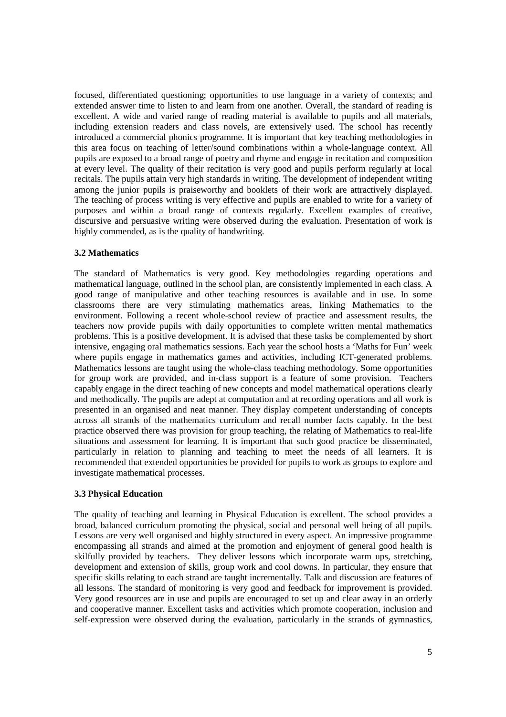focused, differentiated questioning; opportunities to use language in a variety of contexts; and extended answer time to listen to and learn from one another. Overall, the standard of reading is excellent. A wide and varied range of reading material is available to pupils and all materials, including extension readers and class novels, are extensively used. The school has recently introduced a commercial phonics programme. It is important that key teaching methodologies in this area focus on teaching of letter/sound combinations within a whole-language context. All pupils are exposed to a broad range of poetry and rhyme and engage in recitation and composition at every level. The quality of their recitation is very good and pupils perform regularly at local recitals. The pupils attain very high standards in writing. The development of independent writing among the junior pupils is praiseworthy and booklets of their work are attractively displayed. The teaching of process writing is very effective and pupils are enabled to write for a variety of purposes and within a broad range of contexts regularly. Excellent examples of creative, discursive and persuasive writing were observed during the evaluation. Presentation of work is highly commended, as is the quality of handwriting.

## **3.2 Mathematics**

The standard of Mathematics is very good. Key methodologies regarding operations and mathematical language, outlined in the school plan, are consistently implemented in each class. A good range of manipulative and other teaching resources is available and in use. In some classrooms there are very stimulating mathematics areas, linking Mathematics to the environment. Following a recent whole-school review of practice and assessment results, the teachers now provide pupils with daily opportunities to complete written mental mathematics problems. This is a positive development. It is advised that these tasks be complemented by short intensive, engaging oral mathematics sessions. Each year the school hosts a 'Maths for Fun' week where pupils engage in mathematics games and activities, including ICT-generated problems. Mathematics lessons are taught using the whole-class teaching methodology. Some opportunities for group work are provided, and in-class support is a feature of some provision. Teachers capably engage in the direct teaching of new concepts and model mathematical operations clearly and methodically. The pupils are adept at computation and at recording operations and all work is presented in an organised and neat manner. They display competent understanding of concepts across all strands of the mathematics curriculum and recall number facts capably. In the best practice observed there was provision for group teaching, the relating of Mathematics to real-life situations and assessment for learning. It is important that such good practice be disseminated, particularly in relation to planning and teaching to meet the needs of all learners. It is recommended that extended opportunities be provided for pupils to work as groups to explore and investigate mathematical processes.

## **3.3 Physical Education**

The quality of teaching and learning in Physical Education is excellent. The school provides a broad, balanced curriculum promoting the physical, social and personal well being of all pupils. Lessons are very well organised and highly structured in every aspect. An impressive programme encompassing all strands and aimed at the promotion and enjoyment of general good health is skilfully provided by teachers. They deliver lessons which incorporate warm ups, stretching, development and extension of skills, group work and cool downs. In particular, they ensure that specific skills relating to each strand are taught incrementally. Talk and discussion are features of all lessons. The standard of monitoring is very good and feedback for improvement is provided. Very good resources are in use and pupils are encouraged to set up and clear away in an orderly and cooperative manner. Excellent tasks and activities which promote cooperation, inclusion and self-expression were observed during the evaluation, particularly in the strands of gymnastics,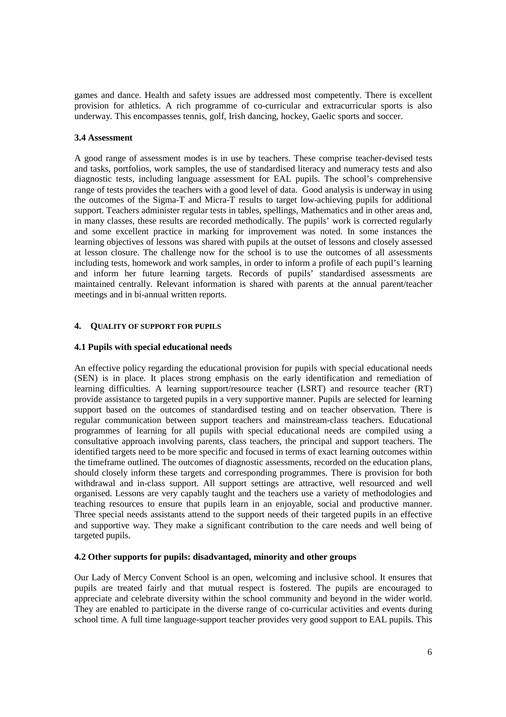games and dance. Health and safety issues are addressed most competently. There is excellent provision for athletics. A rich programme of co-curricular and extracurricular sports is also underway. This encompasses tennis, golf, Irish dancing, hockey, Gaelic sports and soccer.

## **3.4 Assessment**

A good range of assessment modes is in use by teachers. These comprise teacher-devised tests and tasks, portfolios, work samples, the use of standardised literacy and numeracy tests and also diagnostic tests, including language assessment for EAL pupils. The school's comprehensive range of tests provides the teachers with a good level of data. Good analysis is underway in using the outcomes of the Sigma-T and Micra-T results to target low-achieving pupils for additional support. Teachers administer regular tests in tables, spellings, Mathematics and in other areas and, in many classes, these results are recorded methodically. The pupils' work is corrected regularly and some excellent practice in marking for improvement was noted. In some instances the learning objectives of lessons was shared with pupils at the outset of lessons and closely assessed at lesson closure. The challenge now for the school is to use the outcomes of all assessments including tests, homework and work samples, in order to inform a profile of each pupil's learning and inform her future learning targets. Records of pupils' standardised assessments are maintained centrally. Relevant information is shared with parents at the annual parent/teacher meetings and in bi-annual written reports.

## **4. QUALITY OF SUPPORT FOR PUPILS**

## **4.1 Pupils with special educational needs**

An effective policy regarding the educational provision for pupils with special educational needs (SEN) is in place. It places strong emphasis on the early identification and remediation of learning difficulties. A learning support/resource teacher (LSRT) and resource teacher (RT) provide assistance to targeted pupils in a very supportive manner. Pupils are selected for learning support based on the outcomes of standardised testing and on teacher observation. There is regular communication between support teachers and mainstream-class teachers. Educational programmes of learning for all pupils with special educational needs are compiled using a consultative approach involving parents, class teachers, the principal and support teachers. The identified targets need to be more specific and focused in terms of exact learning outcomes within the timeframe outlined. The outcomes of diagnostic assessments, recorded on the education plans, should closely inform these targets and corresponding programmes. There is provision for both withdrawal and in-class support. All support settings are attractive, well resourced and well organised. Lessons are very capably taught and the teachers use a variety of methodologies and teaching resources to ensure that pupils learn in an enjoyable, social and productive manner. Three special needs assistants attend to the support needs of their targeted pupils in an effective and supportive way. They make a significant contribution to the care needs and well being of targeted pupils.

## **4.2 Other supports for pupils: disadvantaged, minority and other groups**

Our Lady of Mercy Convent School is an open, welcoming and inclusive school. It ensures that pupils are treated fairly and that mutual respect is fostered. The pupils are encouraged to appreciate and celebrate diversity within the school community and beyond in the wider world. They are enabled to participate in the diverse range of co-curricular activities and events during school time. A full time language-support teacher provides very good support to EAL pupils. This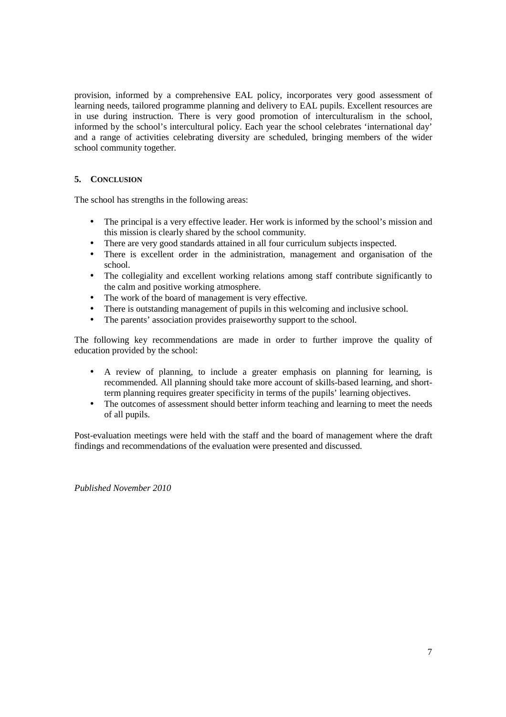provision, informed by a comprehensive EAL policy, incorporates very good assessment of learning needs, tailored programme planning and delivery to EAL pupils. Excellent resources are in use during instruction. There is very good promotion of interculturalism in the school, informed by the school's intercultural policy. Each year the school celebrates 'international day' and a range of activities celebrating diversity are scheduled, bringing members of the wider school community together.

## **5. CONCLUSION**

The school has strengths in the following areas:

- The principal is a very effective leader. Her work is informed by the school's mission and this mission is clearly shared by the school community.
- There are very good standards attained in all four curriculum subjects inspected.
- There is excellent order in the administration, management and organisation of the school.
- The collegiality and excellent working relations among staff contribute significantly to the calm and positive working atmosphere.
- The work of the board of management is very effective.
- There is outstanding management of pupils in this welcoming and inclusive school.
- The parents' association provides praiseworthy support to the school.

The following key recommendations are made in order to further improve the quality of education provided by the school:

- A review of planning, to include a greater emphasis on planning for learning, is recommended. All planning should take more account of skills-based learning, and shortterm planning requires greater specificity in terms of the pupils' learning objectives.
- The outcomes of assessment should better inform teaching and learning to meet the needs of all pupils.

Post-evaluation meetings were held with the staff and the board of management where the draft findings and recommendations of the evaluation were presented and discussed.

*Published November 2010*